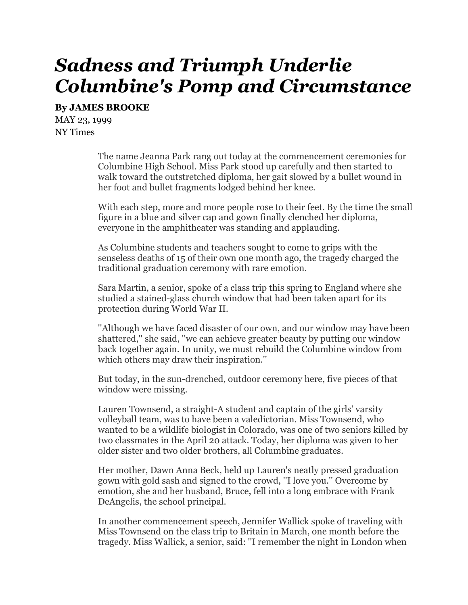## *Sadness and Triumph Underlie Columbine's Pomp and Circumstance*

**By [JAMES BROOKE](https://www.nytimes.com/by/james-brooke)**

MAY 23, 1999 NY Times

> The name Jeanna Park rang out today at the commencement ceremonies for Columbine High School. Miss Park stood up carefully and then started to walk toward the outstretched diploma, her gait slowed by a bullet wound in her foot and bullet fragments lodged behind her knee.

With each step, more and more people rose to their feet. By the time the small figure in a blue and silver cap and gown finally clenched her diploma, everyone in the amphitheater was standing and applauding.

As Columbine students and teachers sought to come to grips with the senseless deaths of 15 of their own one month ago, the tragedy charged the traditional graduation ceremony with rare emotion.

Sara Martin, a senior, spoke of a class trip this spring to England where she studied a stained-glass church window that had been taken apart for its protection during World War II.

''Although we have faced disaster of our own, and our window may have been shattered,'' she said, ''we can achieve greater beauty by putting our window back together again. In unity, we must rebuild the Columbine window from which others may draw their inspiration.''

But today, in the sun-drenched, outdoor ceremony here, five pieces of that window were missing.

Lauren Townsend, a straight-A student and captain of the girls' varsity volleyball team, was to have been a valedictorian. Miss Townsend, who wanted to be a wildlife biologist in Colorado, was one of two seniors killed by two classmates in the April 20 attack. Today, her diploma was given to her older sister and two older brothers, all Columbine graduates.

Her mother, Dawn Anna Beck, held up Lauren's neatly pressed graduation gown with gold sash and signed to the crowd, ''I love you.'' Overcome by emotion, she and her husband, Bruce, fell into a long embrace with Frank DeAngelis, the school principal.

In another commencement speech, Jennifer Wallick spoke of traveling with Miss Townsend on the class trip to Britain in March, one month before the tragedy. Miss Wallick, a senior, said: ''I remember the night in London when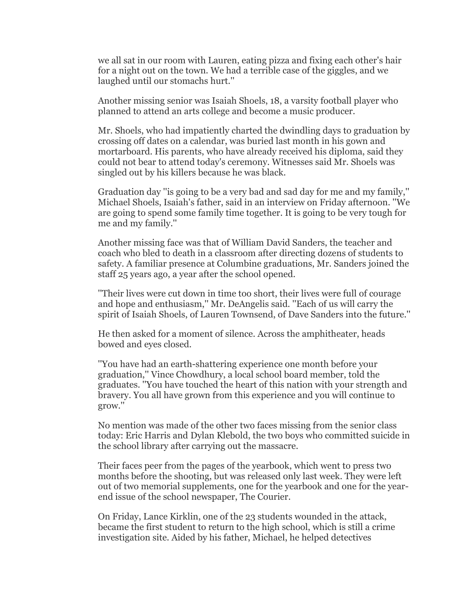we all sat in our room with Lauren, eating pizza and fixing each other's hair for a night out on the town. We had a terrible case of the giggles, and we laughed until our stomachs hurt.''

Another missing senior was Isaiah Shoels, 18, a varsity football player who planned to attend an arts college and become a music producer.

Mr. Shoels, who had impatiently charted the dwindling days to graduation by crossing off dates on a calendar, was buried last month in his gown and mortarboard. His parents, who have already received his diploma, said they could not bear to attend today's ceremony. Witnesses said Mr. Shoels was singled out by his killers because he was black.

Graduation day ''is going to be a very bad and sad day for me and my family,'' Michael Shoels, Isaiah's father, said in an interview on Friday afternoon. ''We are going to spend some family time together. It is going to be very tough for me and my family.''

Another missing face was that of William David Sanders, the teacher and coach who bled to death in a classroom after directing dozens of students to safety. A familiar presence at Columbine graduations, Mr. Sanders joined the staff 25 years ago, a year after the school opened.

''Their lives were cut down in time too short, their lives were full of courage and hope and enthusiasm,'' Mr. DeAngelis said. ''Each of us will carry the spirit of Isaiah Shoels, of Lauren Townsend, of Dave Sanders into the future.''

He then asked for a moment of silence. Across the amphitheater, heads bowed and eyes closed.

''You have had an earth-shattering experience one month before your graduation,'' Vince Chowdhury, a local school board member, told the graduates. ''You have touched the heart of this nation with your strength and bravery. You all have grown from this experience and you will continue to grow.''

No mention was made of the other two faces missing from the senior class today: Eric Harris and Dylan Klebold, the two boys who committed suicide in the school library after carrying out the massacre.

Their faces peer from the pages of the yearbook, which went to press two months before the shooting, but was released only last week. They were left out of two memorial supplements, one for the yearbook and one for the yearend issue of the school newspaper, The Courier.

On Friday, Lance Kirklin, one of the 23 students wounded in the attack, became the first student to return to the high school, which is still a crime investigation site. Aided by his father, Michael, he helped detectives